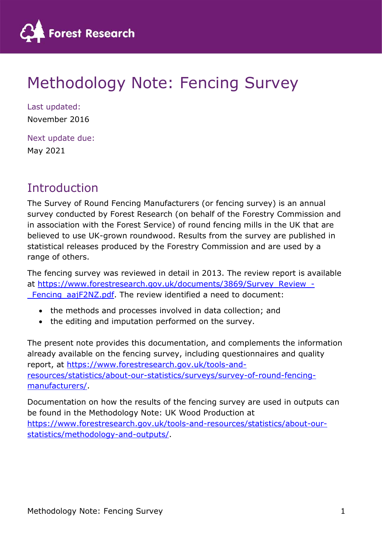

# Methodology Note: Fencing Survey

Last updated: November 2016

Next update due: May 2021

# **Introduction**

The Survey of Round Fencing Manufacturers (or fencing survey) is an annual survey conducted by Forest Research (on behalf of the Forestry Commission and in association with the Forest Service) of round fencing mills in the UK that are believed to use UK-grown roundwood. Results from the survey are published in statistical releases produced by the Forestry Commission and are used by a range of others.

The fencing survey was reviewed in detail in 2013. The review report is available at https://www.forestresearch.gov.uk/documents/3869/Survey\_Review\_-Fencing aajF2NZ.pdf. The review identified a need to document:

- the methods and processes involved in data collection; and
- the editing and imputation performed on the survey.

The present note provides this documentation, and complements the information already available on the fencing survey, including questionnaires and quality report, at https://www.forestresearch.gov.uk/tools-andresources/statistics/about-our-statistics/surveys/survey-of-round-fencingmanufacturers/.

Documentation on how the results of the fencing survey are used in outputs can be found in the Methodology Note: UK Wood Production at https://www.forestresearch.gov.uk/tools-and-resources/statistics/about-ourstatistics/methodology-and-outputs/.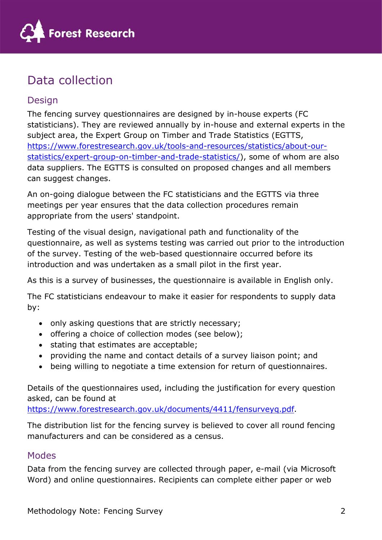

# Data collection

# Design

The fencing survey questionnaires are designed by in-house experts (FC statisticians). They are reviewed annually by in-house and external experts in the subject area, the Expert Group on Timber and Trade Statistics (EGTTS, https://www.forestresearch.gov.uk/tools-and-resources/statistics/about-ourstatistics/expert-group-on-timber-and-trade-statistics/), some of whom are also data suppliers. The EGTTS is consulted on proposed changes and all members can suggest changes.

An on-going dialogue between the FC statisticians and the EGTTS via three meetings per year ensures that the data collection procedures remain appropriate from the users' standpoint.

Testing of the visual design, navigational path and functionality of the questionnaire, as well as systems testing was carried out prior to the introduction of the survey. Testing of the web-based questionnaire occurred before its introduction and was undertaken as a small pilot in the first year.

As this is a survey of businesses, the questionnaire is available in English only.

The FC statisticians endeavour to make it easier for respondents to supply data by:

- only asking questions that are strictly necessary;
- offering a choice of collection modes (see below);
- stating that estimates are acceptable;
- providing the name and contact details of a survey liaison point; and
- being willing to negotiate a time extension for return of questionnaires.

Details of the questionnaires used, including the justification for every question asked, can be found at

https://www.forestresearch.gov.uk/documents/4411/fensurveyq.pdf.

The distribution list for the fencing survey is believed to cover all round fencing manufacturers and can be considered as a census.

## Modes

Data from the fencing survey are collected through paper, e-mail (via Microsoft Word) and online questionnaires. Recipients can complete either paper or web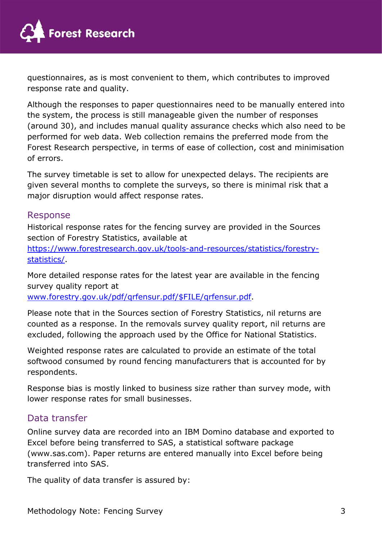

questionnaires, as is most convenient to them, which contributes to improved response rate and quality.

Although the responses to paper questionnaires need to be manually entered into the system, the process is still manageable given the number of responses (around 30), and includes manual quality assurance checks which also need to be performed for web data. Web collection remains the preferred mode from the Forest Research perspective, in terms of ease of collection, cost and minimisation of errors.

The survey timetable is set to allow for unexpected delays. The recipients are given several months to complete the surveys, so there is minimal risk that a major disruption would affect response rates.

### Response

Historical response rates for the fencing survey are provided in the Sources section of Forestry Statistics, available at

https://www.forestresearch.gov.uk/tools-and-resources/statistics/forestrystatistics/.

More detailed response rates for the latest year are available in the fencing survey quality report at

www.forestry.gov.uk/pdf/qrfensur.pdf/\$FILE/qrfensur.pdf.

Please note that in the Sources section of Forestry Statistics, nil returns are counted as a response. In the removals survey quality report, nil returns are excluded, following the approach used by the Office for National Statistics.

Weighted response rates are calculated to provide an estimate of the total softwood consumed by round fencing manufacturers that is accounted for by respondents.

Response bias is mostly linked to business size rather than survey mode, with lower response rates for small businesses.

## Data transfer

Online survey data are recorded into an IBM Domino database and exported to Excel before being transferred to SAS, a statistical software package (www.sas.com). Paper returns are entered manually into Excel before being transferred into SAS.

The quality of data transfer is assured by: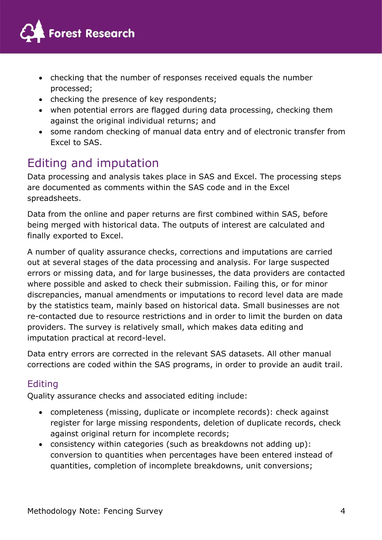

- checking that the number of responses received equals the number processed;
- checking the presence of key respondents;
- when potential errors are flagged during data processing, checking them against the original individual returns; and
- some random checking of manual data entry and of electronic transfer from Excel to SAS.

# Editing and imputation

Data processing and analysis takes place in SAS and Excel. The processing steps are documented as comments within the SAS code and in the Excel spreadsheets.

Data from the online and paper returns are first combined within SAS, before being merged with historical data. The outputs of interest are calculated and finally exported to Excel.

A number of quality assurance checks, corrections and imputations are carried out at several stages of the data processing and analysis. For large suspected errors or missing data, and for large businesses, the data providers are contacted where possible and asked to check their submission. Failing this, or for minor discrepancies, manual amendments or imputations to record level data are made by the statistics team, mainly based on historical data. Small businesses are not re-contacted due to resource restrictions and in order to limit the burden on data providers. The survey is relatively small, which makes data editing and imputation practical at record-level.

Data entry errors are corrected in the relevant SAS datasets. All other manual corrections are coded within the SAS programs, in order to provide an audit trail.

# **Editing**

Quality assurance checks and associated editing include:

- completeness (missing, duplicate or incomplete records): check against register for large missing respondents, deletion of duplicate records, check against original return for incomplete records;
- consistency within categories (such as breakdowns not adding up): conversion to quantities when percentages have been entered instead of quantities, completion of incomplete breakdowns, unit conversions;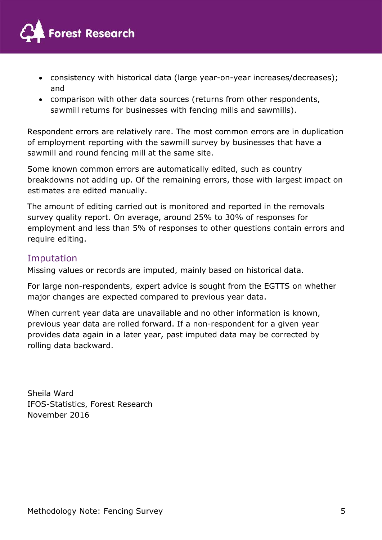

- consistency with historical data (large year-on-year increases/decreases); and
- comparison with other data sources (returns from other respondents, sawmill returns for businesses with fencing mills and sawmills).

Respondent errors are relatively rare. The most common errors are in duplication of employment reporting with the sawmill survey by businesses that have a sawmill and round fencing mill at the same site.

Some known common errors are automatically edited, such as country breakdowns not adding up. Of the remaining errors, those with largest impact on estimates are edited manually.

The amount of editing carried out is monitored and reported in the removals survey quality report. On average, around 25% to 30% of responses for employment and less than 5% of responses to other questions contain errors and require editing.

## Imputation

Missing values or records are imputed, mainly based on historical data.

For large non-respondents, expert advice is sought from the EGTTS on whether major changes are expected compared to previous year data.

When current year data are unavailable and no other information is known, previous year data are rolled forward. If a non-respondent for a given year provides data again in a later year, past imputed data may be corrected by rolling data backward.

Sheila Ward IFOS-Statistics, Forest Research November 2016